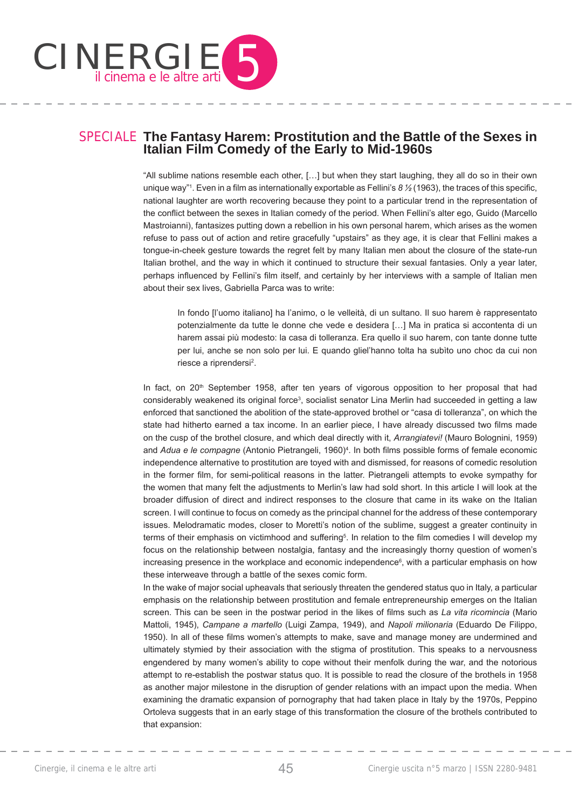

# SPECIALE **The Fantasy Harem: Prostitution and the Battle of the Sexes in Italian Film Comedy of the Early to Mid-1960s**

"All sublime nations resemble each other, […] but when they start laughing, they all do so in their own unique way"<sup>1</sup>. Even in a film as internationally exportable as Fellini's 8  $\frac{1}{2}$  (1963), the traces of this specific, national laughter are worth recovering because they point to a particular trend in the representation of the conflict between the sexes in Italian comedy of the period. When Fellini's alter ego, Guido (Marcello Mastroianni), fantasizes putting down a rebellion in his own personal harem, which arises as the women refuse to pass out of action and retire gracefully "upstairs" as they age, it is clear that Fellini makes a tongue-in-cheek gesture towards the regret felt by many Italian men about the closure of the state-run Italian brothel, and the way in which it continued to structure their sexual fantasies. Only a year later, perhaps influenced by Fellini's film itself, and certainly by her interviews with a sample of Italian men about their sex lives, Gabriella Parca was to write:

In fondo [l'uomo italiano] ha l'animo, o le velleità, di un sultano. Il suo harem è rappresentato potenzialmente da tutte le donne che vede e desidera […] Ma in pratica si accontenta di un harem assai più modesto: la casa di tolleranza. Era quello il suo harem, con tante donne tutte per lui, anche se non solo per lui. E quando gliel'hanno tolta ha subìto uno choc da cui non riesce a riprendersi<sup>2</sup>.

In fact, on 20<sup>th</sup> September 1958, after ten years of vigorous opposition to her proposal that had considerably weakened its original force<sup>3</sup>, socialist senator Lina Merlin had succeeded in getting a law enforced that sanctioned the abolition of the state-approved brothel or "casa di tolleranza", on which the state had hitherto earned a tax income. In an earlier piece, I have already discussed two films made on the cusp of the brothel closure, and which deal directly with it, *Arrangiatevi!* (Mauro Bolognini, 1959) and Adua e le compagne (Antonio Pietrangeli, 1960)<sup>4</sup>. In both films possible forms of female economic independence alternative to prostitution are toyed with and dismissed, for reasons of comedic resolution in the former film, for semi-political reasons in the latter. Pietrangeli attempts to evoke sympathy for the women that many felt the adjustments to Merlin's law had sold short. In this article I will look at the broader diffusion of direct and indirect responses to the closure that came in its wake on the Italian screen. I will continue to focus on comedy as the principal channel for the address of these contemporary issues. Melodramatic modes, closer to Moretti's notion of the sublime, suggest a greater continuity in terms of their emphasis on victimhood and suffering<sup>5</sup>. In relation to the film comedies I will develop my focus on the relationship between nostalgia, fantasy and the increasingly thorny question of women's increasing presence in the workplace and economic independence $\mathcal{E}$ , with a particular emphasis on how these interweave through a battle of the sexes comic form.

In the wake of major social upheavals that seriously threaten the gendered status quo in Italy, a particular emphasis on the relationship between prostitution and female entrepreneurship emerges on the Italian screen. This can be seen in the postwar period in the likes of films such as *La vita ricomincia* (Mario Mattoli, 1945), *Campane a martello* (Luigi Zampa, 1949), and *Napoli milionaria* (Eduardo De Filippo, 1950). In all of these films women's attempts to make, save and manage money are undermined and ultimately stymied by their association with the stigma of prostitution. This speaks to a nervousness engendered by many women's ability to cope without their menfolk during the war, and the notorious attempt to re-establish the postwar status quo. It is possible to read the closure of the brothels in 1958 as another major milestone in the disruption of gender relations with an impact upon the media. When examining the dramatic expansion of pornography that had taken place in Italy by the 1970s, Peppino Ortoleva suggests that in an early stage of this transformation the closure of the brothels contributed to that expansion: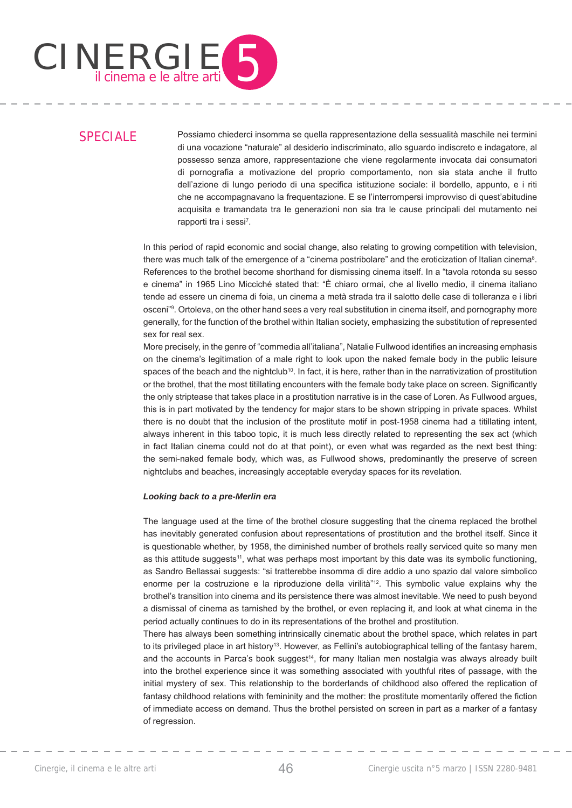

# SPECIALE

Possiamo chiederci insomma se quella rappresentazione della sessualità maschile nei termini di una vocazione "naturale" al desiderio indiscriminato, allo sguardo indiscreto e indagatore, al possesso senza amore, rappresentazione che viene regolarmente invocata dai consumatori di pornografia a motivazione del proprio comportamento, non sia stata anche il frutto dell'azione di lungo periodo di una specifica istituzione sociale: il bordello, appunto, e i riti che ne accompagnavano la frequentazione. E se l'interrompersi improvviso di quest'abitudine acquisita e tramandata tra le generazioni non sia tra le cause principali del mutamento nei rapporti tra i sessi<sup>7</sup>.

In this period of rapid economic and social change, also relating to growing competition with television, there was much talk of the emergence of a "cinema postribolare" and the eroticization of Italian cinema<sup>8</sup>. References to the brothel become shorthand for dismissing cinema itself. In a "tavola rotonda su sesso e cinema" in 1965 Lino Micciché stated that: "È chiaro ormai, che al livello medio, il cinema italiano tende ad essere un cinema di foia, un cinema a metà strada tra il salotto delle case di tolleranza e i libri osceni"9 . Ortoleva, on the other hand sees a very real substitution in cinema itself, and pornography more generally, for the function of the brothel within Italian society, emphasizing the substitution of represented sex for real sex.

More precisely, in the genre of "commedia all'italiana", Natalie Fullwood identifies an increasing emphasis on the cinema's legitimation of a male right to look upon the naked female body in the public leisure spaces of the beach and the nightclub<sup>10</sup>. In fact, it is here, rather than in the narrativization of prostitution or the brothel, that the most titillating encounters with the female body take place on screen. Significantly the only striptease that takes place in a prostitution narrative is in the case of Loren. As Fullwood argues, this is in part motivated by the tendency for major stars to be shown stripping in private spaces. Whilst there is no doubt that the inclusion of the prostitute motif in post-1958 cinema had a titillating intent, always inherent in this taboo topic, it is much less directly related to representing the sex act (which in fact Italian cinema could not do at that point), or even what was regarded as the next best thing: the semi-naked female body, which was, as Fullwood shows, predominantly the preserve of screen nightclubs and beaches, increasingly acceptable everyday spaces for its revelation.

### *Looking back to a pre-Merlin era*

The language used at the time of the brothel closure suggesting that the cinema replaced the brothel has inevitably generated confusion about representations of prostitution and the brothel itself. Since it is questionable whether, by 1958, the diminished number of brothels really serviced quite so many men as this attitude suggests<sup>11</sup>, what was perhaps most important by this date was its symbolic functioning, as Sandro Bellassai suggests: "si tratterebbe insomma di dire addio a uno spazio dal valore simbolico enorme per la costruzione e la riproduzione della virilità"<sup>12</sup>. This symbolic value explains why the brothel's transition into cinema and its persistence there was almost inevitable. We need to push beyond a dismissal of cinema as tarnished by the brothel, or even replacing it, and look at what cinema in the period actually continues to do in its representations of the brothel and prostitution.

There has always been something intrinsically cinematic about the brothel space, which relates in part to its privileged place in art history<sup>13</sup>. However, as Fellini's autobiographical telling of the fantasy harem, and the accounts in Parca's book suggest<sup>14</sup>, for many Italian men nostalgia was always already built into the brothel experience since it was something associated with youthful rites of passage, with the initial mystery of sex. This relationship to the borderlands of childhood also offered the replication of fantasy childhood relations with femininity and the mother: the prostitute momentarily offered the fiction of immediate access on demand. Thus the brothel persisted on screen in part as a marker of a fantasy of regression.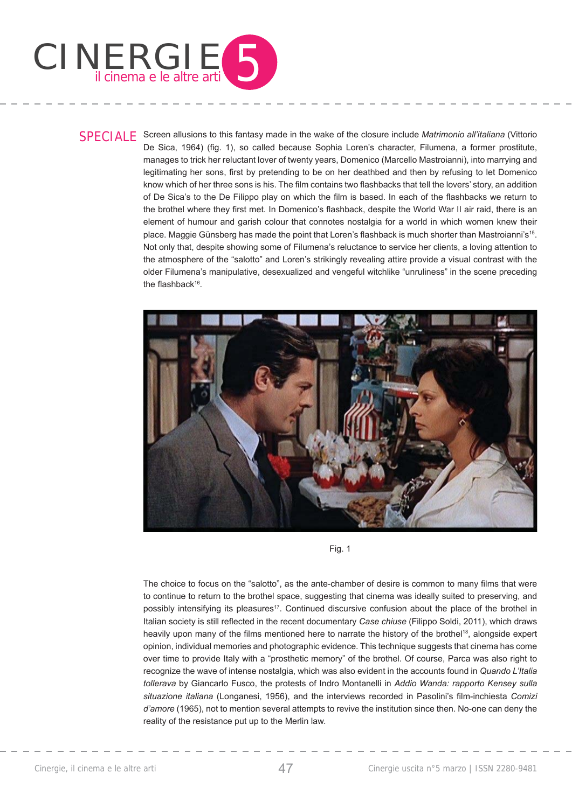

SPECIALE Screen allusions to this fantasy made in the wake of the closure include *Matrimonio all'italiana* (Vittorio De Sica, 1964) (fig. 1), so called because Sophia Loren's character, Filumena, a former prostitute, manages to trick her reluctant lover of twenty years, Domenico (Marcello Mastroianni), into marrying and legitimating her sons, first by pretending to be on her deathbed and then by refusing to let Domenico know which of her three sons is his. The film contains two flashbacks that tell the lovers' story, an addition of De Sica's to the De Filippo play on which the film is based. In each of the flashbacks we return to the brothel where they first met. In Domenico's flashback, despite the World War II air raid, there is an element of humour and garish colour that connotes nostalgia for a world in which women knew their place. Maggie Günsberg has made the point that Loren's flashback is much shorter than Mastroianni's<sup>15</sup>. Not only that, despite showing some of Filumena's reluctance to service her clients, a loving attention to the atmosphere of the "salotto" and Loren's strikingly revealing attire provide a visual contrast with the older Filumena's manipulative, desexualized and vengeful witchlike "unruliness" in the scene preceding the flashback $16$ .



Fig. 1

The choice to focus on the "salotto", as the ante-chamber of desire is common to many films that were to continue to return to the brothel space, suggesting that cinema was ideally suited to preserving, and possibly intensifying its pleasures<sup>17</sup>. Continued discursive confusion about the place of the brothel in Italian society is still reflected in the recent documentary *Case chiuse* (Filippo Soldi, 2011), which draws heavily upon many of the films mentioned here to narrate the history of the brothel<sup>18</sup>, alongside expert opinion, individual memories and photographic evidence. This technique suggests that cinema has come over time to provide Italy with a "prosthetic memory" of the brothel. Of course, Parca was also right to recognize the wave of intense nostalgia, which was also evident in the accounts found in *Quando L'Italia tollerava* by Giancarlo Fusco, the protests of Indro Montanelli in *Addio Wanda: rapporto Kensey sulla*  situazione italiana (Longanesi, 1956), and the interviews recorded in Pasolini's film-inchiesta *Comizi d'amore* (1965), not to mention several attempts to revive the institution since then. No-one can deny the reality of the resistance put up to the Merlin law.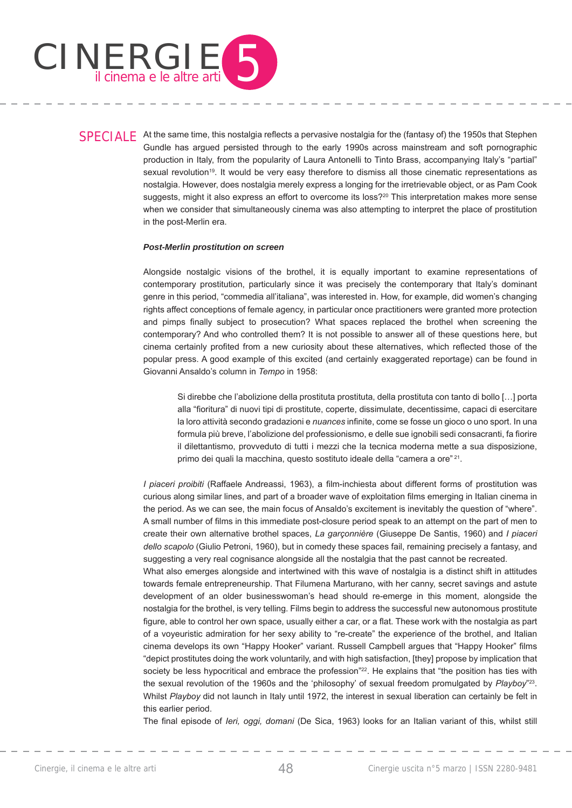

SPECIALE At the same time, this nostalgia reflects a pervasive nostalgia for the (fantasy of) the 1950s that Stephen Gundle has argued persisted through to the early 1990s across mainstream and soft pornographic production in Italy, from the popularity of Laura Antonelli to Tinto Brass, accompanying Italy's "partial" sexual revolution<sup>19</sup>. It would be very easy therefore to dismiss all those cinematic representations as nostalgia. However, does nostalgia merely express a longing for the irretrievable object, or as Pam Cook suggests, might it also express an effort to overcome its loss?<sup>20</sup> This interpretation makes more sense when we consider that simultaneously cinema was also attempting to interpret the place of prostitution in the post-Merlin era.

### *Post-Merlin prostitution on screen*

Alongside nostalgic visions of the brothel, it is equally important to examine representations of contemporary prostitution, particularly since it was precisely the contemporary that Italy's dominant genre in this period, "commedia all'italiana", was interested in. How, for example, did women's changing rights affect conceptions of female agency, in particular once practitioners were granted more protection and pimps finally subject to prosecution? What spaces replaced the brothel when screening the contemporary? And who controlled them? It is not possible to answer all of these questions here, but cinema certainly profited from a new curiosity about these alternatives, which reflected those of the popular press. A good example of this excited (and certainly exaggerated reportage) can be found in Giovanni Ansaldo's column in *Tempo* in 1958:

Si direbbe che l'abolizione della prostituta prostituta, della prostituta con tanto di bollo […] porta alla "fioritura" di nuovi tipi di prostitute, coperte, dissimulate, decentissime, capaci di esercitare la loro attività secondo gradazioni e *nuances* infinite, come se fosse un gioco o uno sport. In una formula più breve, l'abolizione del professionismo, e delle sue ignobili sedi consacranti, fa fiorire il dilettantismo, provveduto di tutti i mezzi che la tecnica moderna mette a sua disposizione, primo dei quali la macchina, questo sostituto ideale della "camera a ore" 21.

*I piaceri proibiti* (Raffaele Andreassi, 1963), a film-inchiesta about different forms of prostitution was curious along similar lines, and part of a broader wave of exploitation films emerging in Italian cinema in the period. As we can see, the main focus of Ansaldo's excitement is inevitably the question of "where". A small number of films in this immediate post-closure period speak to an attempt on the part of men to create their own alternative brothel spaces, *La garçonnière* (Giuseppe De Santis, 1960) and *I piaceri dello scapolo* (Giulio Petroni, 1960), but in comedy these spaces fail, remaining precisely a fantasy, and suggesting a very real cognisance alongside all the nostalgia that the past cannot be recreated.

What also emerges alongside and intertwined with this wave of nostalgia is a distinct shift in attitudes towards female entrepreneurship. That Filumena Marturano, with her canny, secret savings and astute development of an older businesswoman's head should re-emerge in this moment, alongside the nostalgia for the brothel, is very telling. Films begin to address the successful new autonomous prostitute figure, able to control her own space, usually either a car, or a flat. These work with the nostalgia as part of a voyeuristic admiration for her sexy ability to "re-create" the experience of the brothel, and Italian cinema develops its own "Happy Hooker" variant. Russell Campbell argues that "Happy Hooker" films "depict prostitutes doing the work voluntarily, and with high satisfaction, [they] propose by implication that society be less hypocritical and embrace the profession"<sup>22</sup>. He explains that "the position has ties with the sexual revolution of the 1960s and the 'philosophy' of sexual freedom promulgated by *Playboy*"23. Whilst *Playboy* did not launch in Italy until 1972, the interest in sexual liberation can certainly be felt in this earlier period.

The final episode of *Ieri, oggi, domani* (De Sica, 1963) looks for an Italian variant of this, whilst still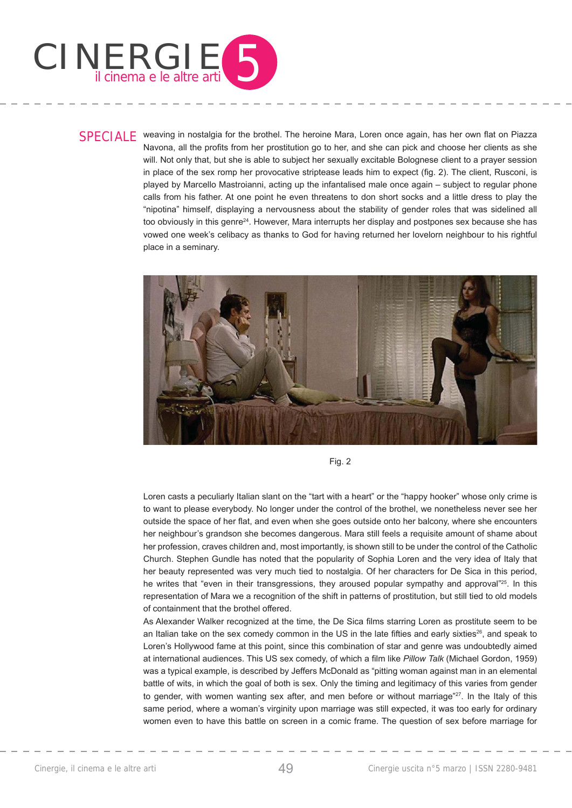

SPECIALE weaving in nostalgia for the brothel. The heroine Mara, Loren once again, has her own flat on Piazza Navona, all the profits from her prostitution go to her, and she can pick and choose her clients as she will. Not only that, but she is able to subject her sexually excitable Bolognese client to a prayer session in place of the sex romp her provocative striptease leads him to expect (fig. 2). The client, Rusconi, is played by Marcello Mastroianni, acting up the infantalised male once again – subject to regular phone calls from his father. At one point he even threatens to don short socks and a little dress to play the "nipotina" himself, displaying a nervousness about the stability of gender roles that was sidelined all too obviously in this genre<sup>24</sup>. However, Mara interrupts her display and postpones sex because she has vowed one week's celibacy as thanks to God for having returned her lovelorn neighbour to his rightful place in a seminary.



Fig. 2

Loren casts a peculiarly Italian slant on the "tart with a heart" or the "happy hooker" whose only crime is to want to please everybody. No longer under the control of the brothel, we nonetheless never see her outside the space of her flat, and even when she goes outside onto her balcony, where she encounters her neighbour's grandson she becomes dangerous. Mara still feels a requisite amount of shame about her profession, craves children and, most importantly, is shown still to be under the control of the Catholic Church. Stephen Gundle has noted that the popularity of Sophia Loren and the very idea of Italy that her beauty represented was very much tied to nostalgia. Of her characters for De Sica in this period, he writes that "even in their transgressions, they aroused popular sympathy and approval"<sup>25</sup>. In this representation of Mara we a recognition of the shift in patterns of prostitution, but still tied to old models of containment that the brothel offered.

As Alexander Walker recognized at the time, the De Sica films starring Loren as prostitute seem to be an Italian take on the sex comedy common in the US in the late fifties and early sixties<sup>26</sup>, and speak to Loren's Hollywood fame at this point, since this combination of star and genre was undoubtedly aimed at international audiences. This US sex comedy, of which a film like *Pillow Talk* (Michael Gordon, 1959) was a typical example, is described by Jeffers McDonald as "pitting woman against man in an elemental battle of wits, in which the goal of both is sex. Only the timing and legitimacy of this varies from gender to gender, with women wanting sex after, and men before or without marriage"<sup>27</sup>. In the Italy of this same period, where a woman's virginity upon marriage was still expected, it was too early for ordinary women even to have this battle on screen in a comic frame. The question of sex before marriage for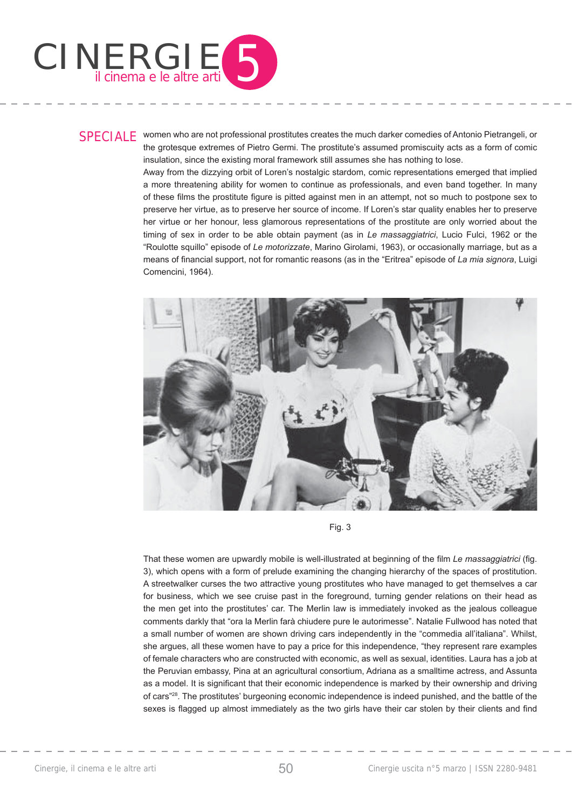

SPECIALE women who are not professional prostitutes creates the much darker comedies of Antonio Pietrangeli, or the grotesque extremes of Pietro Germi. The prostitute's assumed promiscuity acts as a form of comic insulation, since the existing moral framework still assumes she has nothing to lose.

Away from the dizzying orbit of Loren's nostalgic stardom, comic representations emerged that implied a more threatening ability for women to continue as professionals, and even band together. In many of these films the prostitute figure is pitted against men in an attempt, not so much to postpone sex to preserve her virtue, as to preserve her source of income. If Loren's star quality enables her to preserve her virtue or her honour, less glamorous representations of the prostitute are only worried about the timing of sex in order to be able obtain payment (as in *Le massaggiatrici*, Lucio Fulci, 1962 or the "Roulotte squillo" episode of *Le motorizzate*, Marino Girolami, 1963), or occasionally marriage, but as a means of financial support, not for romantic reasons (as in the "Eritrea" episode of *La mia signora*, Luigi Comencini, 1964).



Fig. 3

That these women are upwardly mobile is well-illustrated at beginning of the film *Le massaggiatrici* (fig. 3), which opens with a form of prelude examining the changing hierarchy of the spaces of prostitution. A streetwalker curses the two attractive young prostitutes who have managed to get themselves a car for business, which we see cruise past in the foreground, turning gender relations on their head as the men get into the prostitutes' car. The Merlin law is immediately invoked as the jealous colleague comments darkly that "ora la Merlin farà chiudere pure le autorimesse". Natalie Fullwood has noted that a small number of women are shown driving cars independently in the "commedia all'italiana". Whilst, she argues, all these women have to pay a price for this independence, "they represent rare examples of female characters who are constructed with economic, as well as sexual, identities. Laura has a job at the Peruvian embassy, Pina at an agricultural consortium, Adriana as a smalltime actress, and Assunta as a model. It is significant that their economic independence is marked by their ownership and driving of cars"28. The prostitutes' burgeoning economic independence is indeed punished, and the battle of the sexes is flagged up almost immediately as the two girls have their car stolen by their clients and find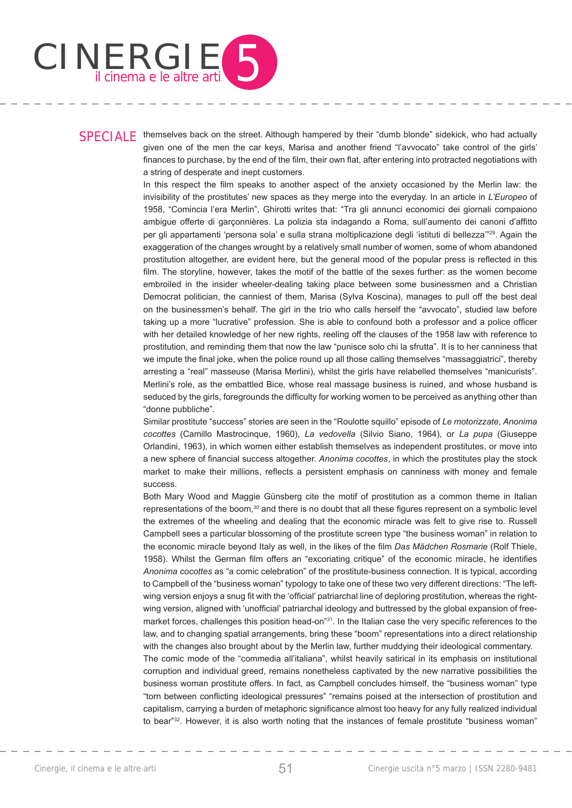

## SPECIALE themselves back on the street. Although hampered by their "dumb blonde" sidekick, who had actually given one of the men the car keys, Marisa and another friend "l'avvocato" take control of the girls' finances to purchase, by the end of the film, their own flat, after entering into protracted negotiations with a string of desperate and inept customers.

In this respect the film speaks to another aspect of the anxiety occasioned by the Merlin law: the invisibility of the prostitutes' new spaces as they merge into the everyday. In an article in *L'Europeo* of 1958, "Comincia l'era Merlin", Ghirotti writes that: "Tra gli annunci economici dei giornali compaiono ambigue offerte di garçonnières. La polizia sta indagando a Roma, sull'aumento dei canoni d'affitto per gli appartamenti 'persona sola' e sulla strana moltiplicazione degli 'istituti di bellezza'"29. Again the exaggeration of the changes wrought by a relatively small number of women, some of whom abandoned prostitution altogether, are evident here, but the general mood of the popular press is reflected in this film. The storyline, however, takes the motif of the battle of the sexes further; as the women become embroiled in the insider wheeler-dealing taking place between some businessmen and a Christian Democrat politician, the canniest of them, Marisa (Sylva Koscina), manages to pull off the best deal on the businessmen's behalf. The girl in the trio who calls herself the "avvocato", studied law before taking up a more "lucrative" profession. She is able to confound both a professor and a police officer with her detailed knowledge of her new rights, reeling off the clauses of the 1958 law with reference to prostitution, and reminding them that now the law "punisce solo chi la sfrutta". It is to her canniness that we impute the final joke, when the police round up all those calling themselves "massaggiatrici", thereby arresting a "real" masseuse (Marisa Merlini), whilst the girls have relabelled themselves "manicurists". Merlini's role, as the embattled Bice, whose real massage business is ruined, and whose husband is seduced by the girls, foregrounds the difficulty for working women to be perceived as anything other than "donne pubbliche".

Similar prostitute "success" stories are seen in the "Roulotte squillo" episode of *Le motorizzate*, *Anonima cocottes* (Camillo Mastrocinque, 1960), *La vedovella* (Silvio Siano, 1964), or *La pupa* (Giuseppe Orlandini, 1963), in which women either establish themselves as independent prostitutes, or move into a new sphere of financial success altogether. Anonima cocottes, in which the prostitutes play the stock market to make their millions, reflects a persistent emphasis on canniness with money and female success.

Both Mary Wood and Maggie Günsberg cite the motif of prostitution as a common theme in Italian representations of the boom,<sup>30</sup> and there is no doubt that all these figures represent on a symbolic level the extremes of the wheeling and dealing that the economic miracle was felt to give rise to. Russell Campbell sees a particular blossoming of the prostitute screen type "the business woman" in relation to the economic miracle beyond Italy as well, in the likes of the film *Das Mädchen Rosmarie* (Rolf Thiele, 1958). Whilst the German film offers an "excoriating critique" of the economic miracle, he identifies *Anonima cocottes* as "a comic celebration" of the prostitute-business connection. It is typical, according to Campbell of the "business woman" typology to take one of these two very different directions: "The leftwing version enjoys a snug fit with the 'official' patriarchal line of deploring prostitution, whereas the rightwing version, aligned with 'unofficial' patriarchal ideology and buttressed by the global expansion of freemarket forces, challenges this position head-on"<sup>31</sup>. In the Italian case the very specific references to the law, and to changing spatial arrangements, bring these "boom" representations into a direct relationship with the changes also brought about by the Merlin law, further muddying their ideological commentary. The comic mode of the "commedia all'italiana", whilst heavily satirical in its emphasis on institutional

corruption and individual greed, remains nonetheless captivated by the new narrative possibilities the business woman prostitute offers. In fact, as Campbell concludes himself, the "business woman" type "torn between conflicting ideological pressures" "remains poised at the intersection of prostitution and capitalism, carrying a burden of metaphoric significance almost too heavy for any fully realized individual to bear<sup>"32</sup>. However, it is also worth noting that the instances of female prostitute "business woman"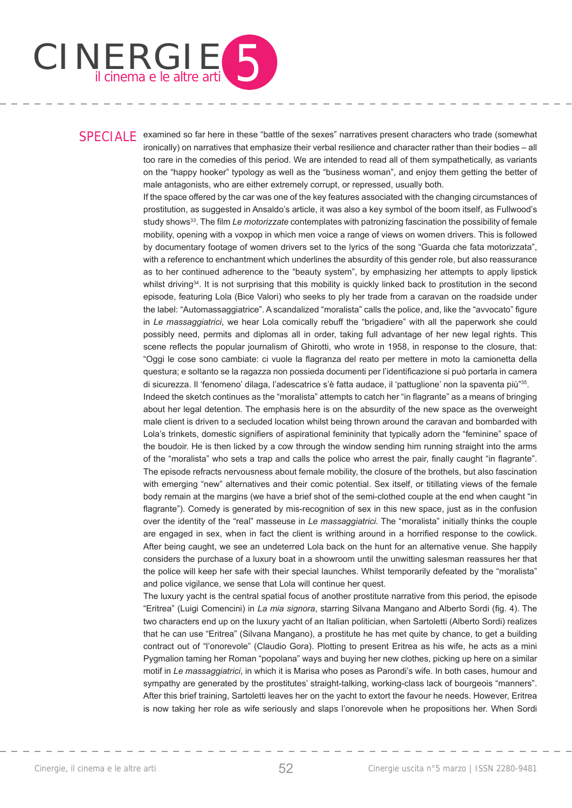

SPECIALE examined so far here in these "battle of the sexes" narratives present characters who trade (somewhat ironically) on narratives that emphasize their verbal resilience and character rather than their bodies – all too rare in the comedies of this period. We are intended to read all of them sympathetically, as variants on the "happy hooker" typology as well as the "business woman", and enjoy them getting the better of male antagonists, who are either extremely corrupt, or repressed, usually both.

> If the space offered by the car was one of the key features associated with the changing circumstances of prostitution, as suggested in Ansaldo's article, it was also a key symbol of the boom itself, as Fullwood's study shows<sup>33</sup>. The film *Le motorizzate* contemplates with patronizing fascination the possibility of female mobility, opening with a voxpop in which men voice a range of views on women drivers. This is followed by documentary footage of women drivers set to the lyrics of the song "Guarda che fata motorizzata", with a reference to enchantment which underlines the absurdity of this gender role, but also reassurance as to her continued adherence to the "beauty system", by emphasizing her attempts to apply lipstick whilst driving<sup>34</sup>. It is not surprising that this mobility is quickly linked back to prostitution in the second episode, featuring Lola (Bice Valori) who seeks to ply her trade from a caravan on the roadside under the label: "Automassaggiatrice". A scandalized "moralista" calls the police, and, like the "avvocato" figure in *Le massaggiatrici*, we hear Lola comically rebuff the "brigadiere" with all the paperwork she could possibly need, permits and diplomas all in order, taking full advantage of her new legal rights. This scene reflects the popular journalism of Ghirotti, who wrote in 1958, in response to the closure, that: "Oggi le cose sono cambiate: ci vuole la flagranza del reato per mettere in moto la camionetta della questura; e soltanto se la ragazza non possieda documenti per l'identificazione si può portarla in camera di sicurezza. Il 'fenomeno' dilaga, l'adescatrice s'è fatta audace, il 'pattuglione' non la spaventa più"35.

> Indeed the sketch continues as the "moralista" attempts to catch her "in flagrante" as a means of bringing about her legal detention. The emphasis here is on the absurdity of the new space as the overweight male client is driven to a secluded location whilst being thrown around the caravan and bombarded with Lola's trinkets, domestic signifiers of aspirational femininity that typically adorn the "feminine" space of the boudoir. He is then licked by a cow through the window sending him running straight into the arms of the "moralista" who sets a trap and calls the police who arrest the pair, finally caught "in flagrante". The episode refracts nervousness about female mobility, the closure of the brothels, but also fascination with emerging "new" alternatives and their comic potential. Sex itself, or titillating views of the female body remain at the margins (we have a brief shot of the semi-clothed couple at the end when caught "in flagrante"). Comedy is generated by mis-recognition of sex in this new space, just as in the confusion over the identity of the "real" masseuse in *Le massaggiatrici*. The "moralista" initially thinks the couple are engaged in sex, when in fact the client is writhing around in a horrified response to the cowlick. After being caught, we see an undeterred Lola back on the hunt for an alternative venue. She happily considers the purchase of a luxury boat in a showroom until the unwitting salesman reassures her that the police will keep her safe with their special launches. Whilst temporarily defeated by the "moralista" and police vigilance, we sense that Lola will continue her quest.

> The luxury yacht is the central spatial focus of another prostitute narrative from this period, the episode "Eritrea" (Luigi Comencini) in *La mia signora*, starring Silvana Mangano and Alberto Sordi (fig. 4). The two characters end up on the luxury yacht of an Italian politician, when Sartoletti (Alberto Sordi) realizes that he can use "Eritrea" (Silvana Mangano), a prostitute he has met quite by chance, to get a building contract out of "l'onorevole" (Claudio Gora). Plotting to present Eritrea as his wife, he acts as a mini Pygmalion taming her Roman "popolana" ways and buying her new clothes, picking up here on a similar motif in *Le massaggiatrici*, in which it is Marisa who poses as Parondi's wife. In both cases, humour and sympathy are generated by the prostitutes' straight-talking, working-class lack of bourgeois "manners". After this brief training, Sartoletti leaves her on the yacht to extort the favour he needs. However, Eritrea is now taking her role as wife seriously and slaps l'onorevole when he propositions her. When Sordi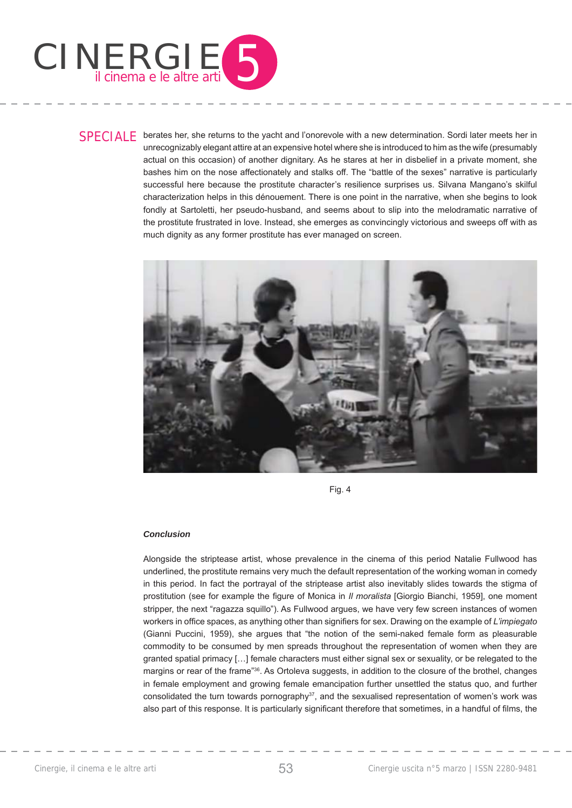

SPECIALE berates her, she returns to the yacht and l'onorevole with a new determination. Sordi later meets her in unrecognizably elegant attire at an expensive hotel where she is introduced to him as the wife (presumably actual on this occasion) of another dignitary. As he stares at her in disbelief in a private moment, she bashes him on the nose affectionately and stalks off. The "battle of the sexes" narrative is particularly successful here because the prostitute character's resilience surprises us. Silvana Mangano's skilful characterization helps in this dénouement. There is one point in the narrative, when she begins to look fondly at Sartoletti, her pseudo-husband, and seems about to slip into the melodramatic narrative of the prostitute frustrated in love. Instead, she emerges as convincingly victorious and sweeps off with as much dignity as any former prostitute has ever managed on screen.



Fig. 4

## *Conclusion*

Alongside the striptease artist, whose prevalence in the cinema of this period Natalie Fullwood has underlined, the prostitute remains very much the default representation of the working woman in comedy in this period. In fact the portrayal of the striptease artist also inevitably slides towards the stigma of prostitution (see for example the figure of Monica in *II moralista* [Giorgio Bianchi, 1959], one moment stripper, the next "ragazza squillo"). As Fullwood argues, we have very few screen instances of women workers in office spaces, as anything other than signifiers for sex. Drawing on the example of *L'impiegato* (Gianni Puccini, 1959), she argues that "the notion of the semi-naked female form as pleasurable commodity to be consumed by men spreads throughout the representation of women when they are granted spatial primacy […] female characters must either signal sex or sexuality, or be relegated to the margins or rear of the frame"<sup>36</sup>. As Ortoleva suggests, in addition to the closure of the brothel, changes in female employment and growing female emancipation further unsettled the status quo, and further consolidated the turn towards pornography $37$ , and the sexualised representation of women's work was also part of this response. It is particularly significant therefore that sometimes, in a handful of films, the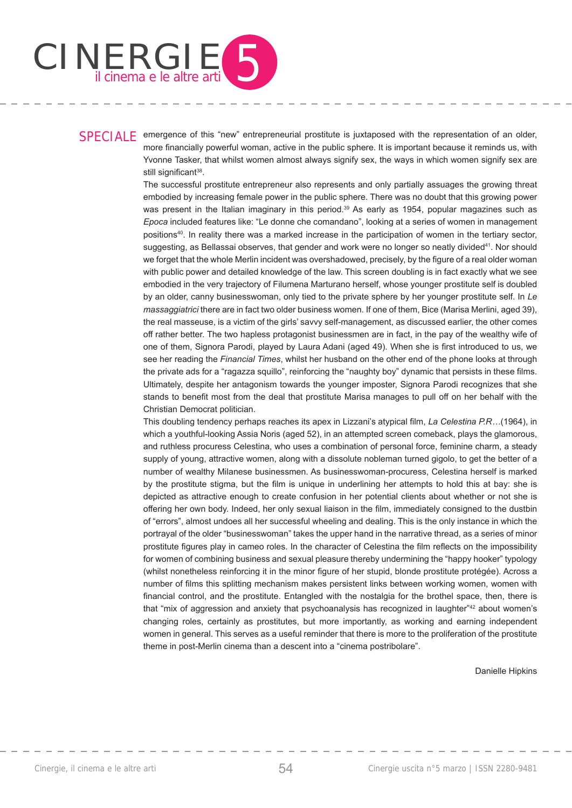

SPECIALE emergence of this "new" entrepreneurial prostitute is juxtaposed with the representation of an older, more financially powerful woman, active in the public sphere. It is important because it reminds us, with Yvonne Tasker, that whilst women almost always signify sex, the ways in which women signify sex are still significant<sup>38</sup>.

> The successful prostitute entrepreneur also represents and only partially assuages the growing threat embodied by increasing female power in the public sphere. There was no doubt that this growing power was present in the Italian imaginary in this period.<sup>39</sup> As early as 1954, popular magazines such as *Epoca* included features like: "Le donne che comandano", looking at a series of women in management positions40. In reality there was a marked increase in the participation of women in the tertiary sector, suggesting, as Bellassai observes, that gender and work were no longer so neatly divided<sup>41</sup>. Nor should we forget that the whole Merlin incident was overshadowed, precisely, by the figure of a real older woman with public power and detailed knowledge of the law. This screen doubling is in fact exactly what we see embodied in the very trajectory of Filumena Marturano herself, whose younger prostitute self is doubled by an older, canny businesswoman, only tied to the private sphere by her younger prostitute self. In *Le massaggiatrici* there are in fact two older business women. If one of them, Bice (Marisa Merlini, aged 39), the real masseuse, is a victim of the girls' savvy self-management, as discussed earlier, the other comes off rather better. The two hapless protagonist businessmen are in fact, in the pay of the wealthy wife of one of them, Signora Parodi, played by Laura Adani (aged 49). When she is first introduced to us, we see her reading the *Financial Times*, whilst her husband on the other end of the phone looks at through the private ads for a "ragazza squillo", reinforcing the "naughty boy" dynamic that persists in these films. Ultimately, despite her antagonism towards the younger imposter, Signora Parodi recognizes that she stands to benefit most from the deal that prostitute Marisa manages to pull off on her behalf with the Christian Democrat politician.

> This doubling tendency perhaps reaches its apex in Lizzani's atypical film, *La Celestina P.R..*.(1964), in which a youthful-looking Assia Noris (aged 52), in an attempted screen comeback, plays the glamorous, and ruthless procuress Celestina, who uses a combination of personal force, feminine charm, a steady supply of young, attractive women, along with a dissolute nobleman turned gigolo, to get the better of a number of wealthy Milanese businessmen. As businesswoman-procuress, Celestina herself is marked by the prostitute stigma, but the film is unique in underlining her attempts to hold this at bay: she is depicted as attractive enough to create confusion in her potential clients about whether or not she is offering her own body. Indeed, her only sexual liaison in the film, immediately consigned to the dustbin of "errors", almost undoes all her successful wheeling and dealing. This is the only instance in which the portrayal of the older "businesswoman" takes the upper hand in the narrative thread, as a series of minor prostitute figures play in cameo roles. In the character of Celestina the film reflects on the impossibility for women of combining business and sexual pleasure thereby undermining the "happy hooker" typology (whilst nonetheless reinforcing it in the minor figure of her stupid, blonde prostitute protégée). Across a number of films this splitting mechanism makes persistent links between working women, women with financial control, and the prostitute. Entangled with the nostalgia for the brothel space, then, there is that "mix of aggression and anxiety that psychoanalysis has recognized in laughter"<sup>42</sup> about women's changing roles, certainly as prostitutes, but more importantly, as working and earning independent women in general. This serves as a useful reminder that there is more to the proliferation of the prostitute theme in post-Merlin cinema than a descent into a "cinema postribolare".

> > Danielle Hipkins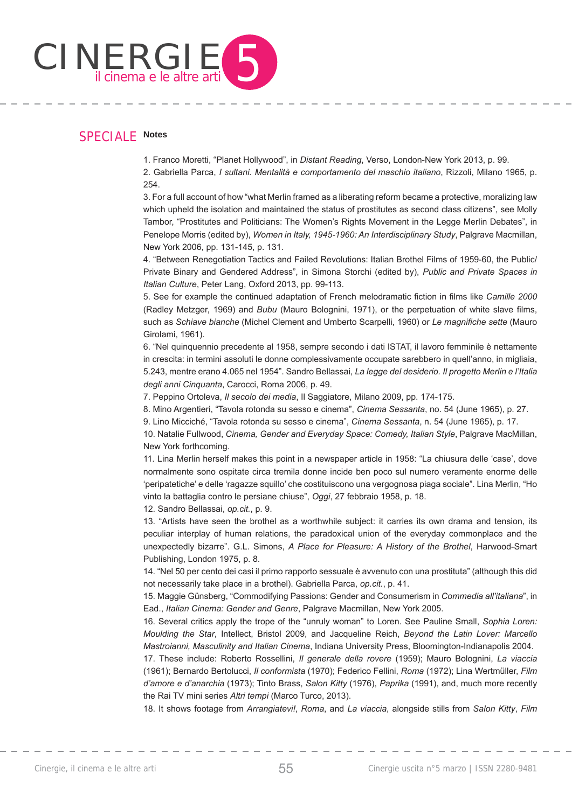

# SPECIALE **Notes**

1. Franco Moretti, "Planet Hollywood", in *Distant Reading*, Verso, London-New York 2013, p. 99.

2. Gabriella Parca, *I sultani. Mentalità e comportamento del maschio italiano*, Rizzoli, Milano 1965, p. 254.

3. For a full account of how "what Merlin framed as a liberating reform became a protective, moralizing law which upheld the isolation and maintained the status of prostitutes as second class citizens", see Molly Tambor, "Prostitutes and Politicians: The Women's Rights Movement in the Legge Merlin Debates", in Penelope Morris (edited by), *Women in Italy, 1945-1960: An Interdisciplinary Study*, Palgrave Macmillan, New York 2006, pp. 131-145, p. 131.

4. "Between Renegotiation Tactics and Failed Revolutions: Italian Brothel Films of 1959-60, the Public/ Private Binary and Gendered Address", in Simona Storchi (edited by), *Public and Private Spaces in Italian Culture*, Peter Lang, Oxford 2013, pp. 99-113.

5. See for example the continued adaptation of French melodramatic fiction in films like *Camille 2000* (Radley Metzger, 1969) and *Bubu* (Mauro Bolognini, 1971), or the perpetuation of white slave films, such as *Schiave bianche* (Michel Clement and Umberto Scarpelli, 1960) or *Le magnifiche sette* (Mauro Girolami, 1961).

6. "Nel quinquennio precedente al 1958, sempre secondo i dati ISTAT, il lavoro femminile è nettamente in crescita: in termini assoluti le donne complessivamente occupate sarebbero in quell'anno, in migliaia, 5.243, mentre erano 4.065 nel 1954". Sandro Bellassai, *La legge del desiderio. Il progetto Merlin e l'Italia degli anni Cinquanta*, Carocci, Roma 2006, p. 49.

7. Peppino Ortoleva, *Il secolo dei media*, Il Saggiatore, Milano 2009, pp. 174-175.

8. Mino Argentieri, "Tavola rotonda su sesso e cinema", *Cinema Sessanta*, no. 54 (June 1965), p. 27.

9. Lino Micciché, "Tavola rotonda su sesso e cinema", *Cinema Sessanta*, n. 54 (June 1965), p. 17.

10. Natalie Fullwood, *Cinema, Gender and Everyday Space: Comedy, Italian Style*, Palgrave MacMillan, New York forthcoming.

11. Lina Merlin herself makes this point in a newspaper article in 1958: "La chiusura delle 'case', dove normalmente sono ospitate circa tremila donne incide ben poco sul numero veramente enorme delle 'peripatetiche' e delle 'ragazze squillo' che costituiscono una vergognosa piaga sociale". Lina Merlin, "Ho vinto la battaglia contro le persiane chiuse", *Oggi*, 27 febbraio 1958, p. 18.

12. Sandro Bellassai, *op.cit.*, p. 9.

13. "Artists have seen the brothel as a worthwhile subject: it carries its own drama and tension, its peculiar interplay of human relations, the paradoxical union of the everyday commonplace and the unexpectedly bizarre". G.L. Simons, *A Place for Pleasure: A History of the Brothel*, Harwood-Smart Publishing, London 1975, p. 8.

14. "Nel 50 per cento dei casi il primo rapporto sessuale è avvenuto con una prostituta" (although this did not necessarily take place in a brothel). Gabriella Parca, *op.cit.*, p. 41.

15. Maggie Günsberg, "Commodifying Passions: Gender and Consumerism in *Commedia all'italiana*", in Ead., *Italian Cinema: Gender and Genre*, Palgrave Macmillan, New York 2005.

16. Several critics apply the trope of the "unruly woman" to Loren. See Pauline Small, *Sophia Loren: Moulding the Star*, Intellect, Bristol 2009, and Jacqueline Reich, *Beyond the Latin Lover: Marcello Mastroianni, Masculinity and Italian Cinema*, Indiana University Press, Bloomington-Indianapolis 2004.

17. These include: Roberto Rossellini, *Il generale della rovere* (1959); Mauro Bolognini, *La viaccia* (1961); Bernardo Bertolucci, *Il conformista* (1970); Federico Fellini, *Roma* (1972); Lina Wertmüller, *Film d'amore e d'anarchia* (1973); Tinto Brass, *Salon Kitty* (1976), *Paprika* (1991), and, much more recently the Rai TV mini series *Altri tempi* (Marco Turco, 2013).

18. It shows footage from *Arrangiatevi!*, *Roma*, and *La viaccia*, alongside stills from *Salon Kitty*, *Film*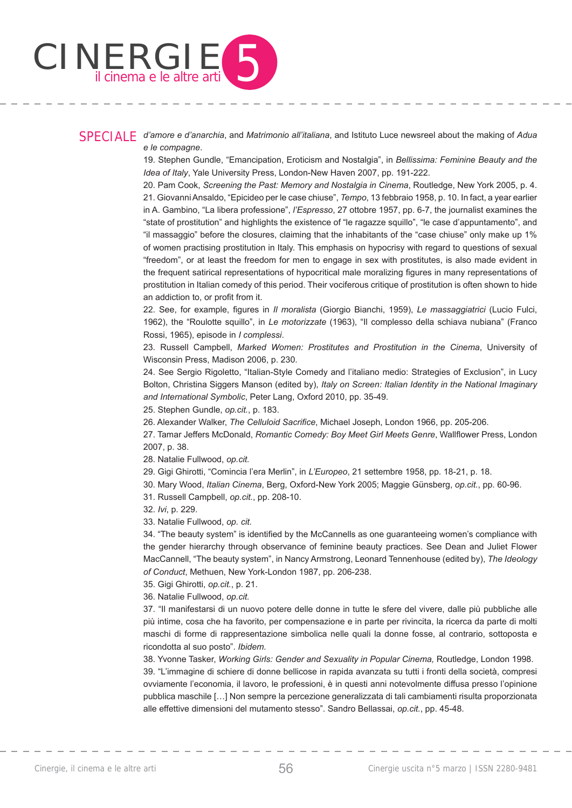

## SPECIALE *d'amore e d'anarchia*, and *Matrimonio all'italiana*, and Istituto Luce newsreel about the making of *Adua e le compagne*.

19. Stephen Gundle, "Emancipation, Eroticism and Nostalgia", in *Bellissima: Feminine Beauty and the Idea of Italy*, Yale University Press, London-New Haven 2007, pp. 191-222.

20. Pam Cook, *Screening the Past: Memory and Nostalgia in Cinema*, Routledge, New York 2005, p. 4. 21. Giovanni Ansaldo, "Epicideo per le case chiuse", *Tempo*, 13 febbraio 1958, p. 10. In fact, a year earlier in A. Gambino, "La libera professione", *l'Espresso*, 27 ottobre 1957, pp. 6-7, the journalist examines the "state of prostitution" and highlights the existence of "le ragazze squillo", "le case d'appuntamento", and "il massaggio" before the closures, claiming that the inhabitants of the "case chiuse" only make up 1% of women practising prostitution in Italy. This emphasis on hypocrisy with regard to questions of sexual "freedom", or at least the freedom for men to engage in sex with prostitutes, is also made evident in the frequent satirical representations of hypocritical male moralizing figures in many representations of prostitution in Italian comedy of this period. Their vociferous critique of prostitution is often shown to hide an addiction to, or profit from it.

22. See, for example, figures in *Il moralista* (Giorgio Bianchi, 1959), *Le massaggiatrici* (Lucio Fulci, 1962), the "Roulotte squillo", in *Le motorizzate* (1963), "Il complesso della schiava nubiana" (Franco Rossi, 1965), episode in *I complessi*.

23. Russell Campbell, *Marked Women: Prostitutes and Prostitution in the Cinema*, University of Wisconsin Press, Madison 2006, p. 230.

24. See Sergio Rigoletto, "Italian-Style Comedy and l'italiano medio: Strategies of Exclusion", in Lucy Bolton, Christina Siggers Manson (edited by), *Italy on Screen: Italian Identity in the National Imaginary and International Symbolic*, Peter Lang, Oxford 2010, pp. 35-49.

25. Stephen Gundle, *op.cit.*, p. 183.

26. Alexander Walker, *The Celluloid Sacrifice*, Michael Joseph, London 1966, pp. 205-206.

27. Tamar Jeffers McDonald, *Romantic Comedy: Boy Meet Girl Meets Genre*, Wallflower Press, London 2007, p. 38.

28. Natalie Fullwood, *op.cit.*

29. Gigi Ghirotti, "Comincia l'era Merlin", in *L'Europeo*, 21 settembre 1958, pp. 18-21, p. 18.

30. Mary Wood, *Italian Cinema*, Berg, Oxford-New York 2005; Maggie Günsberg, *op.cit.*, pp. 60-96.

31. Russell Campbell, *op.cit.*, pp. 208-10.

32. *Ivi*, p. 229.

33. Natalie Fullwood, *op. cit.*

34. "The beauty system" is identified by the McCannells as one guaranteeing women's compliance with the gender hierarchy through observance of feminine beauty practices. See Dean and Juliet Flower MacCannell, "The beauty system", in Nancy Armstrong, Leonard Tennenhouse (edited by), *The Ideology of Conduct*, Methuen, New York-London 1987, pp. 206-238.

35. Gigi Ghirotti, *op.cit.*, p. 21.

36. Natalie Fullwood, *op.cit.*

37. "Il manifestarsi di un nuovo potere delle donne in tutte le sfere del vivere, dalle più pubbliche alle più intime, cosa che ha favorito, per compensazione e in parte per rivincita, la ricerca da parte di molti maschi di forme di rappresentazione simbolica nelle quali la donne fosse, al contrario, sottoposta e ricondotta al suo posto". *Ibidem.*

38. Yvonne Tasker, *Working Girls: Gender and Sexuality in Popular Cinema,* Routledge, London 1998. 39. "L'immagine di schiere di donne bellicose in rapida avanzata su tutti i fronti della società, compresi ovviamente l'economia, il lavoro, le professioni, è in questi anni notevolmente diffusa presso l'opinione pubblica maschile […] Non sempre la percezione generalizzata di tali cambiamenti risulta proporzionata

alle effettive dimensioni del mutamento stesso". Sandro Bellassai, *op.cit.*, pp. 45-48.